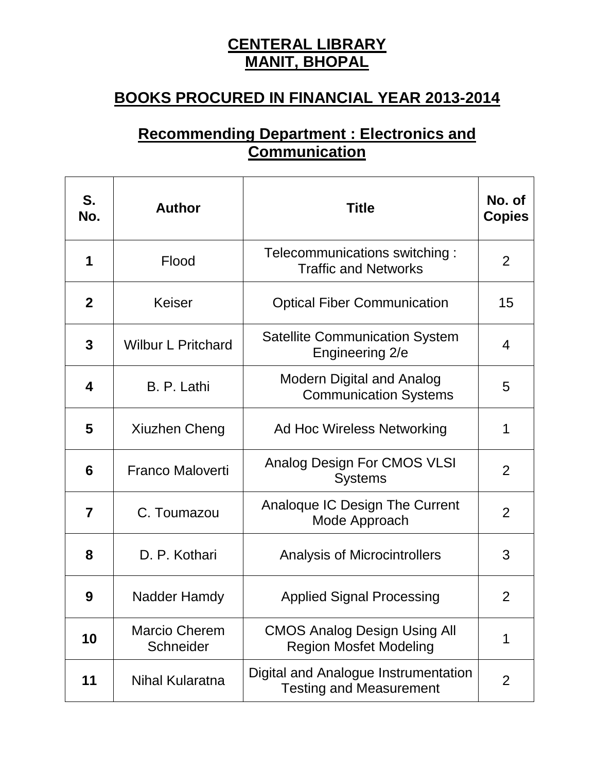## **CENTERAL LIBRARY MANIT, BHOPAL**

## **BOOKS PROCURED IN FINANCIAL YEAR 2013-2014**

## **Recommending Department : Electronics and Communication**

| S.<br>No.   | <b>Author</b>                     | <b>Title</b>                                                           | No. of<br><b>Copies</b> |
|-------------|-----------------------------------|------------------------------------------------------------------------|-------------------------|
| 1           | Flood                             | Telecommunications switching:<br><b>Traffic and Networks</b>           | $\overline{2}$          |
| $\mathbf 2$ | <b>Keiser</b>                     | <b>Optical Fiber Communication</b>                                     | 15                      |
| 3           | <b>Wilbur L Pritchard</b>         | <b>Satellite Communication System</b><br>Engineering 2/e               | 4                       |
| 4           | B. P. Lathi                       | <b>Modern Digital and Analog</b><br><b>Communication Systems</b>       | 5                       |
| 5           | Xiuzhen Cheng                     | Ad Hoc Wireless Networking                                             | 1                       |
| 6           | <b>Franco Maloverti</b>           | <b>Analog Design For CMOS VLSI</b><br><b>Systems</b>                   | $\overline{2}$          |
| 7           | C. Toumazou                       | Analoque IC Design The Current<br>Mode Approach                        | $\overline{2}$          |
| 8           | D. P. Kothari                     | <b>Analysis of Microcintrollers</b>                                    | 3                       |
| 9           | Nadder Hamdy                      | <b>Applied Signal Processing</b>                                       | 2                       |
| 10          | <b>Marcio Cherem</b><br>Schneider | <b>CMOS Analog Design Using All</b><br><b>Region Mosfet Modeling</b>   | 1                       |
| 11          | <b>Nihal Kularatna</b>            | Digital and Analogue Instrumentation<br><b>Testing and Measurement</b> | $\overline{2}$          |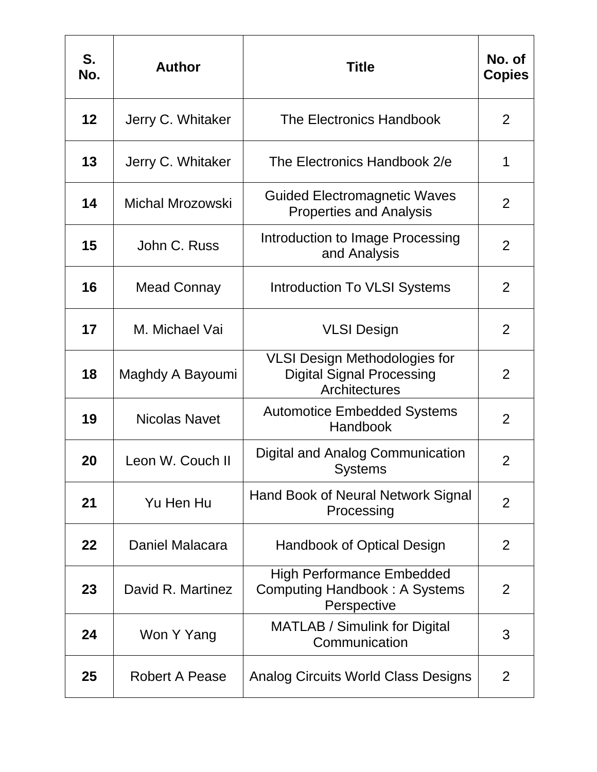| S.<br>No. | <b>Author</b>         | Title                                                                                     | No. of<br><b>Copies</b> |
|-----------|-----------------------|-------------------------------------------------------------------------------------------|-------------------------|
| 12        | Jerry C. Whitaker     | The Electronics Handbook                                                                  | $\overline{2}$          |
| 13        | Jerry C. Whitaker     | The Electronics Handbook 2/e                                                              | 1                       |
| 14        | Michal Mrozowski      | <b>Guided Electromagnetic Waves</b><br><b>Properties and Analysis</b>                     | 2                       |
| 15        | John C. Russ          | Introduction to Image Processing<br>and Analysis                                          | $\overline{2}$          |
| 16        | Mead Connay           | <b>Introduction To VLSI Systems</b>                                                       | $\overline{2}$          |
| 17        | M. Michael Vai        | <b>VLSI Design</b>                                                                        | $\overline{2}$          |
| 18        | Maghdy A Bayoumi      | <b>VLSI Design Methodologies for</b><br><b>Digital Signal Processing</b><br>Architectures | $\overline{2}$          |
| 19        | <b>Nicolas Navet</b>  | <b>Automotice Embedded Systems</b><br>Handbook                                            | $\overline{2}$          |
| 20        | Leon W. Couch II      | Digital and Analog Communication<br><b>Systems</b>                                        | 2                       |
| 21        | Yu Hen Hu             | Hand Book of Neural Network Signal<br>Processing                                          | $\overline{2}$          |
| 22        | Daniel Malacara       | Handbook of Optical Design                                                                | 2                       |
| 23        | David R. Martinez     | <b>High Performance Embedded</b><br><b>Computing Handbook: A Systems</b><br>Perspective   | 2                       |
| 24        | Won Y Yang            | <b>MATLAB / Simulink for Digital</b><br>Communication                                     | 3                       |
| 25        | <b>Robert A Pease</b> | <b>Analog Circuits World Class Designs</b>                                                | 2                       |